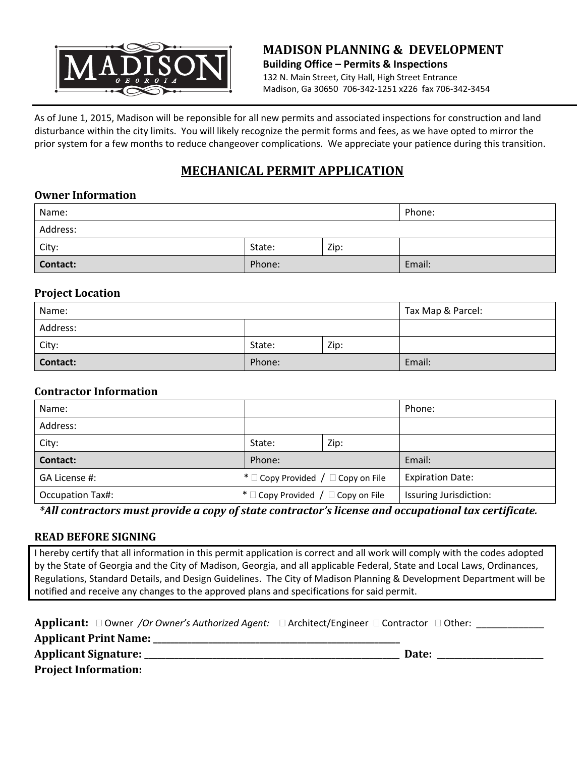

### **MADISON PLANNING & DEVELOPMENT Building Office – Permits & Inspections** 132 N. Main Street, City Hall, High Street Entrance Madison, Ga 30650 706‐342‐1251 x226 fax 706‐342‐3454

As of June 1, 2015, Madison will be reponsible for all new permits and associated inspections for construction and land disturbance within the city limits. You will likely recognize the permit forms and fees, as we have opted to mirror the prior system for a few months to reduce changeover complications. We appreciate your patience during this transition.

# **MECHANICAL PERMIT APPLICATION**

# **Owner Information**

| Name:           |        |      | Phone: |
|-----------------|--------|------|--------|
| Address:        |        |      |        |
| City:           | State: | Zip: |        |
| <b>Contact:</b> | Phone: |      | Email: |

#### **Project Location**

| Name:    | Tax Map & Parcel: |      |        |
|----------|-------------------|------|--------|
| Address: |                   |      |        |
| City:    | State:            | Zip: |        |
| Contact: | Phone:            |      | Email: |

#### **Contractor Information**

| Name:                   |                                              |      | Phone:                  |  |
|-------------------------|----------------------------------------------|------|-------------------------|--|
| Address:                |                                              |      |                         |  |
| City:                   | State:                                       | Zip: |                         |  |
| Contact:                | Phone:                                       |      | Email:                  |  |
| GA License #:           | * $\Box$ Copy Provided / $\Box$ Copy on File |      | <b>Expiration Date:</b> |  |
| <b>Occupation Tax#:</b> | * $\Box$ Copy Provided / $\Box$ Copy on File |      | Issuring Jurisdiction:  |  |

*\*All contractors must provide a copy of state contractor's license and occupational tax certificate.*

# **READ BEFORE SIGNING**

I hereby certify that all information in this permit application is correct and all work will comply with the codes adopted by the State of Georgia and the City of Madison, Georgia, and all applicable Federal, State and Local Laws, Ordinances, Regulations, Standard Details, and Design Guidelines. The City of Madison Planning & Development Department will be notified and receive any changes to the approved plans and specifications for said permit.

**Applicant:** □ Owner /Or Owner's Authorized Agent: □ Architect/Engineer □ Contractor □ Other: \_\_\_\_\_\_\_\_\_\_\_\_

**Applicant Print Name: \_\_\_\_\_\_\_\_\_\_\_\_\_\_\_\_\_\_\_\_\_\_\_\_\_\_\_\_\_\_\_\_\_\_\_\_\_\_\_\_\_\_\_\_\_\_\_\_\_\_\_\_\_\_\_\_\_\_** 

**Applicant Signature: \_\_\_\_\_\_\_\_\_\_\_\_\_\_\_\_\_\_\_\_\_\_\_\_\_\_\_\_\_\_\_\_\_\_\_\_\_\_\_\_\_\_\_\_\_\_\_\_\_\_\_\_\_\_\_\_\_\_\_\_ Date: \_\_\_\_\_\_\_\_\_\_\_\_\_\_\_\_\_\_\_\_\_\_\_\_\_**

**Project Information:**